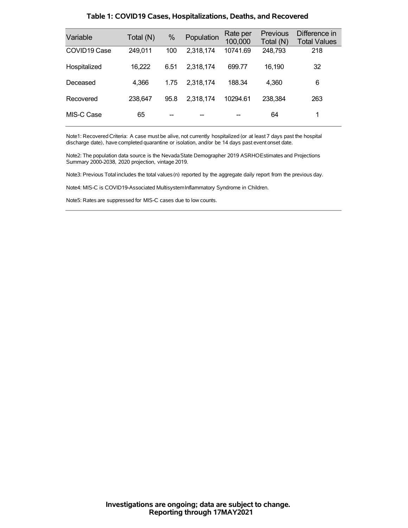| Variable                 | Total (N) | %    | Population | Rate per<br>100,000 | Previous<br>Total (N) | Difference in<br><b>Total Values</b> |
|--------------------------|-----------|------|------------|---------------------|-----------------------|--------------------------------------|
| COVID <sub>19</sub> Case | 249,011   | 100  | 2,318,174  | 10741.69            | 248,793               | 218                                  |
| Hospitalized             | 16,222    | 6.51 | 2.318.174  | 699.77              | 16.190                | 32                                   |
| Deceased                 | 4,366     | 1.75 | 2.318.174  | 188.34              | 4,360                 | 6                                    |
| Recovered                | 238,647   | 95.8 | 2,318,174  | 10294.61            | 238,384               | 263                                  |
| MIS-C Case               | 65        |      |            |                     | 64                    | 1                                    |

### **Table 1: COVID19 Cases, Hospitalizations, Deaths, and Recovered**

Note1: Recovered Criteria: A case must be alive, not currently hospitalized (or at least 7 days past the hospital discharge date), have completed quarantine or isolation, and/or be 14 days past event onset date.

Note2: The population data source is the Nevada State Demographer 2019 ASRHOEstimates and Projections Summary 2000-2038, 2020 projection, vintage 2019.

Note3: Previous Total includes the total values(n) reported by the aggregate daily report from the previous day.

Note4: MIS-C is COVID19-Associated MultisystemInflammatory Syndrome in Children.

Note5: Rates are suppressed for MIS-C cases due to low counts.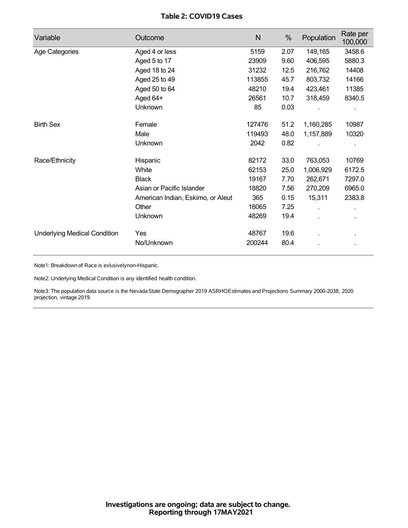## **Table 2: COVID19 Cases**

| Variable                            | Outcome                           | N      | %    | Population | Rate per<br>100,000 |
|-------------------------------------|-----------------------------------|--------|------|------------|---------------------|
| Age Categories                      | Aged 4 or less                    | 5159   | 2.07 | 149,165    | 3458.6              |
|                                     | Aged 5 to 17                      | 23909  | 9.60 | 406,595    | 5880.3              |
|                                     | Aged 18 to 24                     | 31232  | 12.5 | 216,762    | 14408               |
|                                     | Aged 25 to 49                     | 113855 | 45.7 | 803,732    | 14166               |
|                                     | Aged 50 to 64                     | 48210  | 19.4 | 423,461    | 11385               |
|                                     | Aged 64+                          | 26561  | 10.7 | 318,459    | 8340.5              |
|                                     | Unknown                           | 85     | 0.03 |            |                     |
| <b>Birth Sex</b>                    | Female                            | 127476 | 51.2 | 1,160,285  | 10987               |
|                                     | Male                              | 119493 | 48.0 | 1,157,889  | 10320               |
|                                     | Unknown                           | 2042   | 0.82 |            |                     |
| Race/Ethnicity                      | Hispanic                          | 82172  | 33.0 | 763,053    | 10769               |
|                                     | White                             | 62153  | 25.0 | 1,006,929  | 6172.5              |
|                                     | <b>Black</b>                      | 19167  | 7.70 | 262,671    | 7297.0              |
|                                     | Asian or Pacific Islander         | 18820  | 7.56 | 270,209    | 6965.0              |
|                                     | American Indian, Eskimo, or Aleut | 365    | 0.15 | 15,311     | 2383.8              |
|                                     | Other                             | 18065  | 7.25 |            |                     |
|                                     | Unknown                           | 48269  | 19.4 |            |                     |
| <b>Underlying Medical Condition</b> | Yes                               | 48767  | 19.6 |            |                     |
|                                     | No/Unknown                        | 200244 | 80.4 |            |                     |

Note1: Breakdown of Race is exlusivelynon-Hispanic.

Note2: Underlying Medical Condition is any identified health condition.

Note3: The population data source is the NevadaState Demographer 2019 ASRHOEstimates and Projections Summary 2000-2038, 2020 projection, vintage 2019.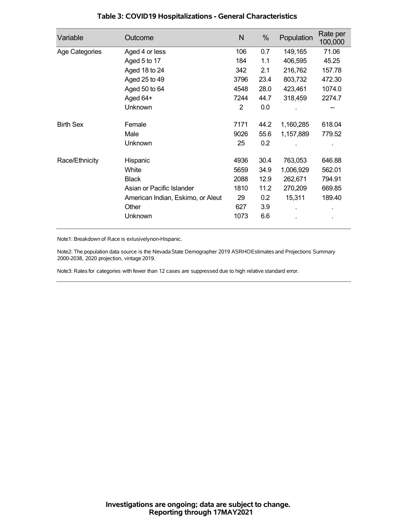| Variable         | Outcome                           | N              | %    | Population | Rate per<br>100,000 |
|------------------|-----------------------------------|----------------|------|------------|---------------------|
| Age Categories   | Aged 4 or less                    | 106            | 0.7  | 149,165    | 71.06               |
|                  | Aged 5 to 17                      | 184            | 1.1  | 406,595    | 45.25               |
|                  | Aged 18 to 24                     | 342            | 2.1  | 216,762    | 157.78              |
|                  | Aged 25 to 49                     | 3796           | 23.4 | 803,732    | 472.30              |
|                  | Aged 50 to 64                     | 4548           | 28.0 | 423,461    | 1074.0              |
|                  | Aged 64+                          | 7244           | 44.7 | 318,459    | 2274.7              |
|                  | Unknown                           | $\overline{2}$ | 0.0  |            |                     |
| <b>Birth Sex</b> | Female                            | 7171           | 44.2 | 1,160,285  | 618.04              |
|                  | Male                              | 9026           | 55.6 | 1,157,889  | 779.52              |
|                  | Unknown                           | 25             | 0.2  |            |                     |
| Race/Ethnicity   | Hispanic                          | 4936           | 30.4 | 763,053    | 646.88              |
|                  | White                             | 5659           | 34.9 | 1,006,929  | 562.01              |
|                  | <b>Black</b>                      | 2088           | 12.9 | 262,671    | 794.91              |
|                  | Asian or Pacific Islander         | 1810           | 11.2 | 270,209    | 669.85              |
|                  | American Indian, Eskimo, or Aleut | 29             | 0.2  | 15,311     | 189.40              |
|                  | Other                             | 627            | 3.9  |            |                     |
|                  | Unknown                           | 1073           | 6.6  |            | $\blacksquare$      |

## **Table 3: COVID19 Hospitalizations - General Characteristics**

Note1: Breakdown of Race is exlusivelynon-Hispanic.

Note2: The population data source is the Nevada State Demographer 2019 ASRHOEstimates and Projections Summary 2000-2038, 2020 projection, vintage 2019.

Note3: Rates for categories with fewer than 12 cases are suppressed due to high relative standard error.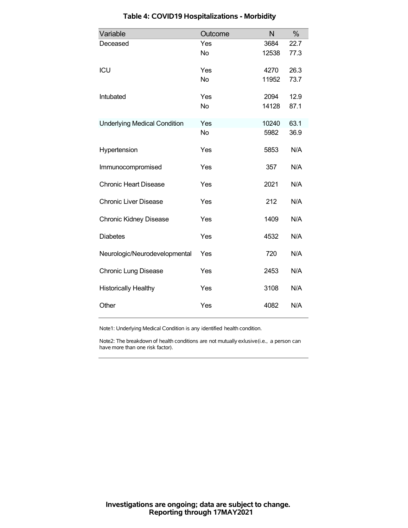| Variable                            | Outcome   | N     | %    |
|-------------------------------------|-----------|-------|------|
| Deceased                            | Yes       | 3684  | 22.7 |
|                                     | <b>No</b> | 12538 | 77.3 |
| ICU                                 | Yes       | 4270  | 26.3 |
|                                     | <b>No</b> | 11952 | 73.7 |
| Intubated                           | Yes       | 2094  | 12.9 |
|                                     | <b>No</b> | 14128 | 87.1 |
| <b>Underlying Medical Condition</b> | Yes       | 10240 | 63.1 |
|                                     | <b>No</b> | 5982  | 36.9 |
| Hypertension                        | Yes       | 5853  | N/A  |
| Immunocompromised                   | Yes       | 357   | N/A  |
| <b>Chronic Heart Disease</b>        | Yes       | 2021  | N/A  |
| <b>Chronic Liver Disease</b>        | Yes       | 212   | N/A  |
| <b>Chronic Kidney Disease</b>       | Yes       | 1409  | N/A  |
| <b>Diabetes</b>                     | Yes       | 4532  | N/A  |
| Neurologic/Neurodevelopmental       | Yes       | 720   | N/A  |
| <b>Chronic Lung Disease</b>         | Yes       | 2453  | N/A  |
| <b>Historically Healthy</b>         | Yes       | 3108  | N/A  |
| Other                               | Yes       | 4082  | N/A  |

# **Table 4: COVID19 Hospitalizations - Morbidity**

Note1: Underlying Medical Condition is any identified health condition.

Note2: The breakdown of health conditions are not mutually exlusive(i.e., a person can have more than one risk factor).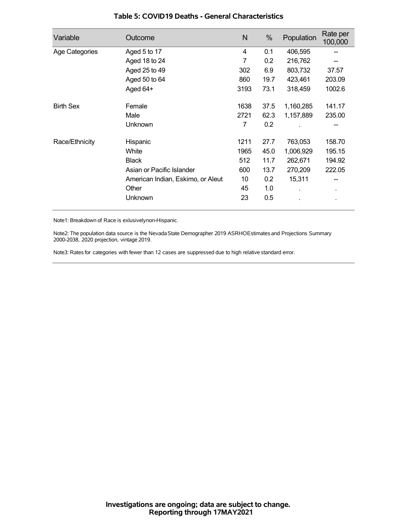| Variable         | Outcome                           | N    | %    | Population | Rate per<br>100,000 |
|------------------|-----------------------------------|------|------|------------|---------------------|
| Age Categories   | Aged 5 to 17                      | 4    | 0.1  | 406,595    |                     |
|                  | Aged 18 to 24                     | 7    | 0.2  | 216,762    |                     |
|                  | Aged 25 to 49                     | 302  | 6.9  | 803,732    | 37.57               |
|                  | Aged 50 to 64                     | 860  | 19.7 | 423,461    | 203.09              |
|                  | Aged 64+                          | 3193 | 73.1 | 318,459    | 1002.6              |
| <b>Birth Sex</b> | Female                            | 1638 | 37.5 | 1,160,285  | 141.17              |
|                  | Male                              | 2721 | 62.3 | 1,157,889  | 235.00              |
|                  | Unknown                           | 7    | 0.2  |            |                     |
| Race/Ethnicity   | Hispanic                          | 1211 | 27.7 | 763,053    | 158.70              |
|                  | White                             | 1965 | 45.0 | 1,006,929  | 195.15              |
|                  | <b>Black</b>                      | 512  | 11.7 | 262,671    | 194.92              |
|                  | Asian or Pacific Islander         | 600  | 13.7 | 270,209    | 222.05              |
|                  | American Indian, Eskimo, or Aleut | 10   | 0.2  | 15,311     |                     |
|                  | Other                             | 45   | 1.0  |            | ٠                   |
|                  | Unknown                           | 23   | 0.5  |            |                     |

### **Table 5: COVID19 Deaths - General Characteristics**

Note1: Breakdown of Race is exlusivelynon-Hispanic.

Note2: The population data source is the Nevada State Demographer 2019 ASRHOEstimates and Projections Summary 2000-2038, 2020 projection, vintage 2019.

Note3: Rates for categories with fewer than 12 cases are suppressed due to high relative standard error.